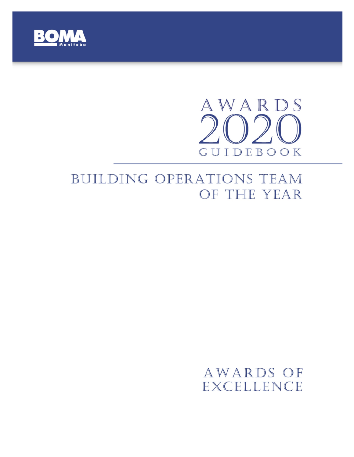

# AWARDS GUIDEBOOK

## BUILDING OPERATIONS TEAM OF THE YEAR

### AWARDS OF **EXCELLENCE**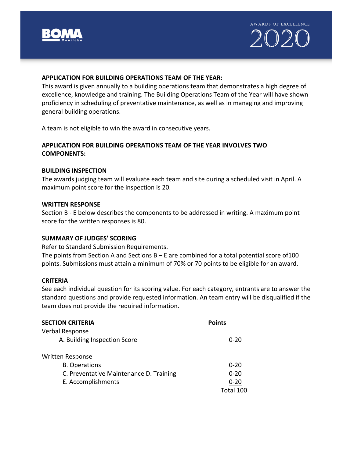



#### **APPLICATION FOR BUILDING OPERATIONS TEAM OF THE YEAR:**

This award is given annually to a building operations team that demonstrates a high degree of excellence, knowledge and training. The Building Operations Team of the Year will have shown proficiency in scheduling of preventative maintenance, as well as in managing and improving general building operations.

A team is not eligible to win the award in consecutive years.

#### **APPLICATION FOR BUILDING OPERATIONS TEAM OF THE YEAR INVOLVES TWO COMPONENTS:**

#### **BUILDING INSPECTION**

The awards judging team will evaluate each team and site during a scheduled visit in April. A maximum point score for the inspection is 20.

#### **WRITTEN RESPONSE**

Section B - E below describes the components to be addressed in writing. A maximum point score for the written responses is 80.

#### **SUMMARY OF JUDGES' SCORING**

Refer to Standard Submission Requirements.

The points from Section A and Sections  $B - E$  are combined for a total potential score of 100 points. Submissions must attain a minimum of 70% or 70 points to be eligible for an award.

#### **CRITERIA**

See each individual question for its scoring value. For each category, entrants are to answer the standard questions and provide requested information. An team entry will be disqualified if the team does not provide the required information.

| <b>SECTION CRITERIA</b>                 | <b>Points</b> |
|-----------------------------------------|---------------|
| Verbal Response                         |               |
| A. Building Inspection Score            | $0 - 20$      |
| <b>Written Response</b>                 |               |
| <b>B.</b> Operations                    | $0 - 20$      |
| C. Preventative Maintenance D. Training | $0 - 20$      |
| E. Accomplishments                      | $0 - 20$      |
|                                         | Total 100     |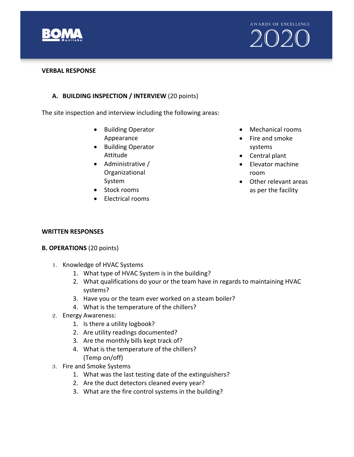



#### **VERBAL RESPONSE**

#### **A. BUILDING INSPECTION / INTERVIEW** (20 points)

The site inspection and interview including the following areas:

- Building Operator Appearance
- Building Operator Attitude
- Administrative / Organizational System
- Stock rooms
- Electrical rooms
- Mechanical rooms
- Fire and smoke systems
- Central plant
- Elevator machine room
- Other relevant areas as per the facility

#### **WRITTEN RESPONSES**

#### **B. OPERATIONS** (20 points)

- 1. Knowledge of HVAC Systems
	- 1. What type of HVAC System is in the building?
	- 2. What qualifications do your or the team have in regards to maintaining HVAC systems?
	- 3. Have you or the team ever worked on a steam boiler?
	- 4. What is the temperature of the chillers?
- 2. Energy Awareness:
	- 1. Is there a utility logbook?
	- 2. Are utility readings documented?
	- 3. Are the monthly bills kept track of?
	- 4. What is the temperature of the chillers? (Temp on/off)
- 3. Fire and Smoke Systems
	- 1. What was the last testing date of the extinguishers?
	- 2. Are the duct detectors cleaned every year?
	- 3. What are the fire control systems in the building?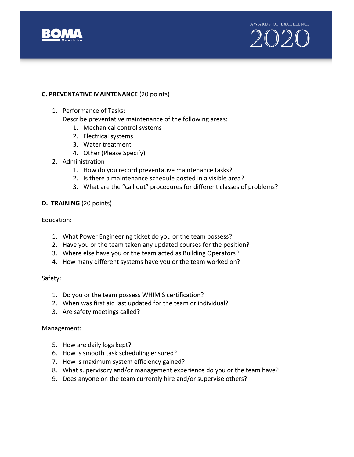



#### **C. PREVENTATIVE MAINTENANCE** (20 points)

1. Performance of Tasks:

Describe preventative maintenance of the following areas:

- 1. Mechanical control systems
- 2. Electrical systems
- 3. Water treatment
- 4. Other (Please Specify)
- 2. Administration
	- 1. How do you record preventative maintenance tasks?
	- 2. Is there a maintenance schedule posted in a visible area?
	- 3. What are the "call out" procedures for different classes of problems?

#### **D. TRAINING** (20 points)

Education:

- 1. What Power Engineering ticket do you or the team possess?
- 2. Have you or the team taken any updated courses for the position?
- 3. Where else have you or the team acted as Building Operators?
- 4. How many different systems have you or the team worked on?

Safety:

- 1. Do you or the team possess WHIMIS certification?
- 2. When was first aid last updated for the team or individual?
- 3. Are safety meetings called?

#### Management:

- 5. How are daily logs kept?
- 6. How is smooth task scheduling ensured?
- 7. How is maximum system efficiency gained?
- 8. What supervisory and/or management experience do you or the team have?
- 9. Does anyone on the team currently hire and/or supervise others?